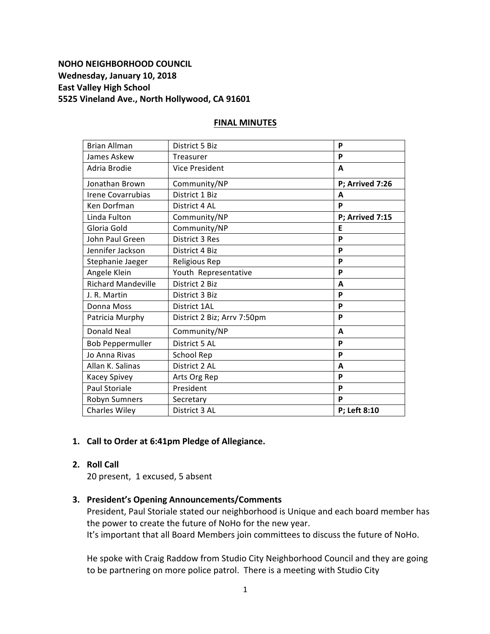# **NOHO NEIGHBORHOOD COUNCIL** Wednesday, January 10, 2018 **East Valley High School 5525 Vineland Ave., North Hollywood, CA 91601**

| District 5 Biz              | P               |
|-----------------------------|-----------------|
| Treasurer                   | P               |
| <b>Vice President</b>       | A               |
| Community/NP                | P; Arrived 7:26 |
| District 1 Biz              | A               |
| District 4 AL               | P               |
| Community/NP                | P; Arrived 7:15 |
| Community/NP                | E               |
| District 3 Res              | P               |
| District 4 Biz              | P               |
| Religious Rep               | P               |
| Youth Representative        | P               |
| District 2 Biz              | A               |
| District 3 Biz              | P               |
| District 1AL                | P               |
| District 2 Biz; Arrv 7:50pm | P               |
| Community/NP                | A               |
| District 5 AL               | P               |
| School Rep                  | P               |
| District 2 AL               | A               |
| Arts Org Rep                | P               |
| President                   | P               |
| Secretary                   | P               |
| District 3 AL               | P; Left 8:10    |
|                             |                 |

## **FINAL MINUTES**

# 1. Call to Order at 6:41pm Pledge of Allegiance.

# **2. Roll Call**

20 present, 1 excused, 5 absent

## **3. President's Opening Announcements/Comments**

President, Paul Storiale stated our neighborhood is Unique and each board member has the power to create the future of NoHo for the new year.

It's important that all Board Members join committees to discuss the future of NoHo.

He spoke with Craig Raddow from Studio City Neighborhood Council and they are going to be partnering on more police patrol. There is a meeting with Studio City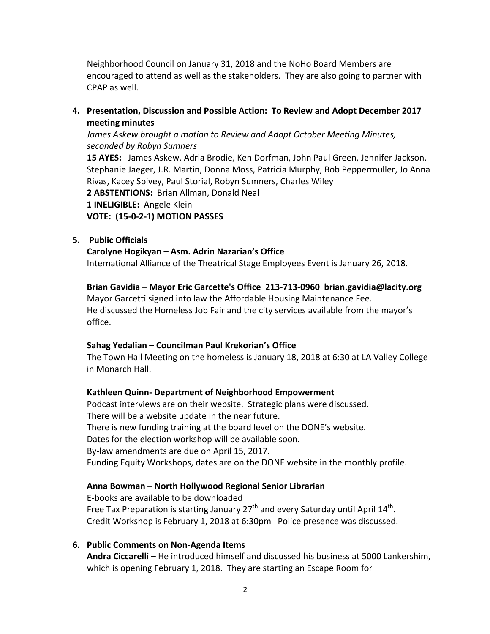Neighborhood Council on January 31, 2018 and the NoHo Board Members are encouraged to attend as well as the stakeholders. They are also going to partner with CPAP as well.

**4. Presentation, Discussion and Possible Action: To Review and Adopt December 2017 meeting minutes**

*James Askew brought a motion to Review and Adopt October Meeting Minutes, seconded by Robyn Sumners*

**15 AYES:** James Askew, Adria Brodie, Ken Dorfman, John Paul Green, Jennifer Jackson, Stephanie Jaeger, J.R. Martin, Donna Moss, Patricia Murphy, Bob Peppermuller, Jo Anna Rivas, Kacey Spivey, Paul Storial, Robyn Sumners, Charles Wiley 2 **ABSTENTIONS:** Brian Allman, Donald Neal **1 INELIGIBLE:** Angele Klein

**VOTE: (15-0-2-**1**) MOTION PASSES**

## **5. Public Officials**

## **Carolyne Hogikyan – Asm. Adrin Nazarian's Office**

International Alliance of the Theatrical Stage Employees Event is January 26, 2018.

**Brian Gavidia – Mayor Eric Garcette's Office 213-713-0960 brian.gavidia@lacity.org** Mayor Garcetti signed into law the Affordable Housing Maintenance Fee. He discussed the Homeless Job Fair and the city services available from the mayor's office.

## **Sahag Yedalian – Councilman Paul Krekorian's Office**

The Town Hall Meeting on the homeless is January 18, 2018 at 6:30 at LA Valley College in Monarch Hall.

## **Kathleen Quinn- Department of Neighborhood Empowerment**

Podcast interviews are on their website. Strategic plans were discussed. There will be a website update in the near future. There is new funding training at the board level on the DONE's website. Dates for the election workshop will be available soon. By-law amendments are due on April 15, 2017. Funding Equity Workshops, dates are on the DONE website in the monthly profile.

## **Anna Bowman – North Hollywood Regional Senior Librarian**

E-books are available to be downloaded Free Tax Preparation is starting January  $27<sup>th</sup>$  and every Saturday until April  $14<sup>th</sup>$ . Credit Workshop is February 1, 2018 at 6:30pm Police presence was discussed.

## **6. Public Comments on Non-Agenda Items**

**Andra Ciccarelli** – He introduced himself and discussed his business at 5000 Lankershim, which is opening February 1, 2018. They are starting an Escape Room for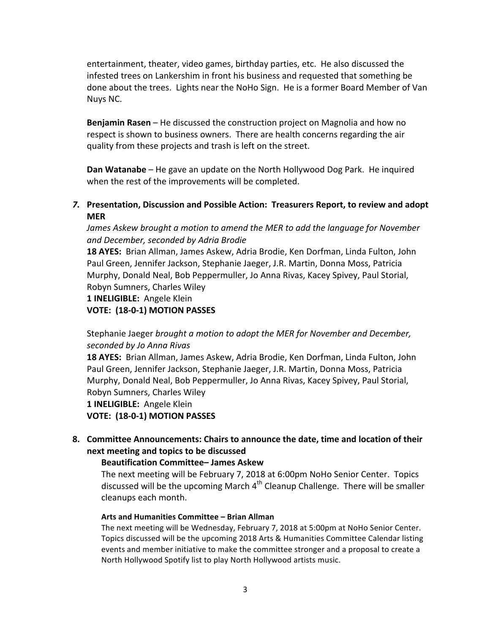entertainment, theater, video games, birthday parties, etc. He also discussed the infested trees on Lankershim in front his business and requested that something be done about the trees. Lights near the NoHo Sign. He is a former Board Member of Van Nuys NC.

**Benjamin Rasen** – He discussed the construction project on Magnolia and how no respect is shown to business owners. There are health concerns regarding the air quality from these projects and trash is left on the street.

**Dan Watanabe** – He gave an update on the North Hollywood Dog Park. He inquired when the rest of the improvements will be completed.

7. Presentation, Discussion and Possible Action: Treasurers Report, to review and adopt **MER**

*James Askew brought a motion to amend the MER to add the language for November and December, seconded by Adria Brodie*

**18 AYES:** Brian Allman, James Askew, Adria Brodie, Ken Dorfman, Linda Fulton, John Paul Green, Jennifer Jackson, Stephanie Jaeger, J.R. Martin, Donna Moss, Patricia Murphy, Donald Neal, Bob Peppermuller, Jo Anna Rivas, Kacey Spivey, Paul Storial, Robyn Sumners, Charles Wiley

## 1 **INELIGIBLE:** Angele Klein

**VOTE: (18-0-1) MOTION PASSES**

Stephanie Jaeger *brought a motion to adopt the MER for November and December, seconded by Jo Anna Rivas*

**18 AYES:** Brian Allman, James Askew, Adria Brodie, Ken Dorfman, Linda Fulton, John Paul Green, Jennifer Jackson, Stephanie Jaeger, J.R. Martin, Donna Moss, Patricia Murphy, Donald Neal, Bob Peppermuller, Jo Anna Rivas, Kacey Spivey, Paul Storial, Robyn Sumners, Charles Wiley

1 **INELIGIBLE:** Angele Klein

**VOTE: (18-0-1) MOTION PASSES**

8. Committee Announcements: Chairs to announce the date, time and location of their **next meeting and topics to be discussed**

## **Beautification Committee– James Askew**

The next meeting will be February 7, 2018 at 6:00pm NoHo Senior Center. Topics discussed will be the upcoming March  $4<sup>th</sup>$  Cleanup Challenge. There will be smaller cleanups each month.

#### **Arts and Humanities Committee – Brian Allman**

The next meeting will be Wednesday, February 7, 2018 at 5:00pm at NoHo Senior Center. Topics discussed will be the upcoming 2018 Arts & Humanities Committee Calendar listing events and member initiative to make the committee stronger and a proposal to create a North Hollywood Spotify list to play North Hollywood artists music.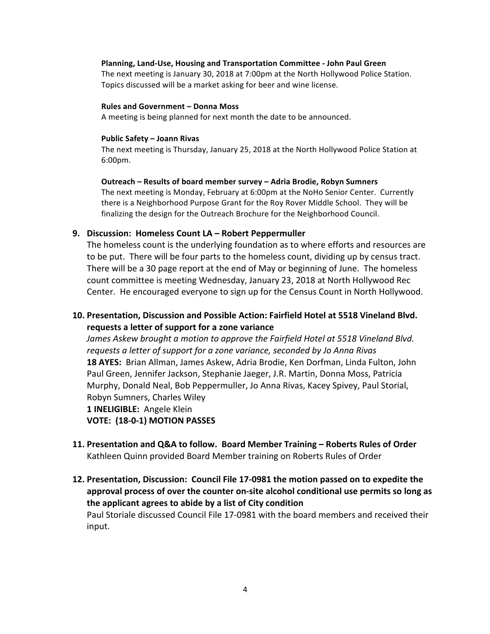#### **Planning, Land-Use, Housing and Transportation Committee - John Paul Green**

The next meeting is January 30, 2018 at 7:00pm at the North Hollywood Police Station. Topics discussed will be a market asking for beer and wine license.

#### **Rules and Government - Donna Moss**

A meeting is being planned for next month the date to be announced.

#### **Public Safety – Joann Rivas**

The next meeting is Thursday, January 25, 2018 at the North Hollywood Police Station at 6:00pm.

#### **Outreach – Results of board member survey – Adria Brodie, Robyn Sumners**

The next meeting is Monday, February at 6:00pm at the NoHo Senior Center. Currently there is a Neighborhood Purpose Grant for the Roy Rover Middle School. They will be finalizing the design for the Outreach Brochure for the Neighborhood Council.

#### **9. Discussion: Homeless Count LA – Robert Peppermuller**

The homeless count is the underlying foundation as to where efforts and resources are to be put. There will be four parts to the homeless count, dividing up by census tract. There will be a 30 page report at the end of May or beginning of June. The homeless count committee is meeting Wednesday, January 23, 2018 at North Hollywood Rec Center. He encouraged everyone to sign up for the Census Count in North Hollywood.

# **10. Presentation, Discussion and Possible Action: Fairfield Hotel at 5518 Vineland Blvd. requests a letter of support for a zone variance**

James Askew brought a motion to approve the Fairfield Hotel at 5518 Vineland Blvd. *requests a letter of support for a zone variance, seconded by Jo Anna Rivas* **18 AYES:** Brian Allman, James Askew, Adria Brodie, Ken Dorfman, Linda Fulton, John Paul Green, Jennifer Jackson, Stephanie Jaeger, J.R. Martin, Donna Moss, Patricia Murphy, Donald Neal, Bob Peppermuller, Jo Anna Rivas, Kacey Spivey, Paul Storial, Robyn Sumners, Charles Wiley 1 **INELIGIBLE:** Angele Klein **VOTE: (18-0-1) MOTION PASSES**

11. Presentation and Q&A to follow. Board Member Training - Roberts Rules of Order Kathleen Quinn provided Board Member training on Roberts Rules of Order

# **12. Presentation, Discussion: Council File 17-0981 the motion passed on to expedite the** approval process of over the counter on-site alcohol conditional use permits so long as **the applicant agrees to abide by a list of City condition** Paul Storiale discussed Council File 17-0981 with the board members and received their input.